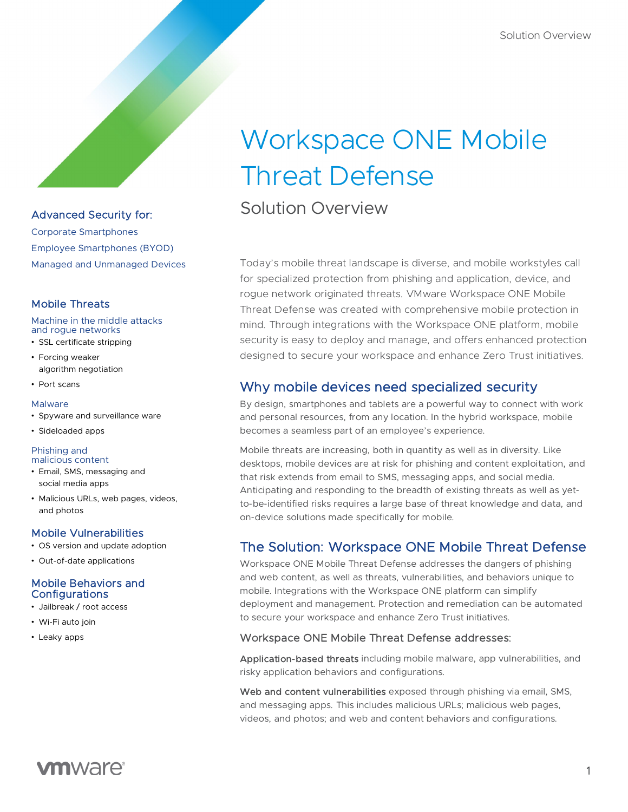# Workspace ONE Mobile Threat Defense

Solution Overview

Today's mobile threat landscape is diverse, and mobile workstyles call for specialized protection from phishing and application, device, and rogue network originated threats. VMware Workspace ONE Mobile Threat Defense was created with comprehensive mobile protection in mind. Through integrations with the Workspace ONE platform, mobile security is easy to deploy and manage, and offers enhanced protection designed to secure your workspace and enhance Zero Trust initiatives.

# Why mobile devices need specialized security

By design, smartphones and tablets are a powerful way to connect with work and personal resources, from any location. In the hybrid workspace, mobile becomes a seamless part of an employee's experience.

Mobile threats are increasing, both in quantity as well as in diversity. Like desktops, mobile devices are at risk for phishing and content exploitation, and that risk extends from email to SMS, messaging apps, and social media. Anticipating and responding to the breadth of existing threats as well as yetto-be-identified risks requires a large base of threat knowledge and data, and on-device solutions made specifically for mobile.

# The Solution: Workspace ONE Mobile Threat Defense

Workspace ONE Mobile Threat Defense addresses the dangers of phishing and web content, as well as threats, vulnerabilities, and behaviors unique to mobile. Integrations with the Workspace ONE platform can simplify deployment and management. Protection and remediation can be automated to secure your workspace and enhance Zero Trust initiatives.

## Workspace ONE Mobile Threat Defense addresses:

Application-based threats including mobile malware, app vulnerabilities, and risky application behaviors and configurations.

Web and content vulnerabilities exposed through phishing via email, SMS, and messaging apps. This includes malicious URLs; malicious web pages, videos, and photos; and web and content behaviors and configurations.

# Advanced Security for:

Corporate Smartphones Employee Smartphones (BYOD) Managed and Unmanaged Devices

# Mobile Threats

Machine in the middle attacks and rogue networks

- SSL certificate stripping
- Forcing weaker algorithm negotiation
- Port scans

#### Malware

- Spyware and surveillance ware
- Sideloaded apps

#### Phishing and malicious content

• Email, SMS, messaging and social media apps

• Malicious URLs, web pages, videos, and photos

# Mobile Vulnerabilities

- OS version and update adoption
- Out-of-date applications

#### Mobile Behaviors and **Configurations**

- Jailbreak / root access
- Wi-Fi auto join
- Leaky apps

# **vm**ware<sup>®</sup>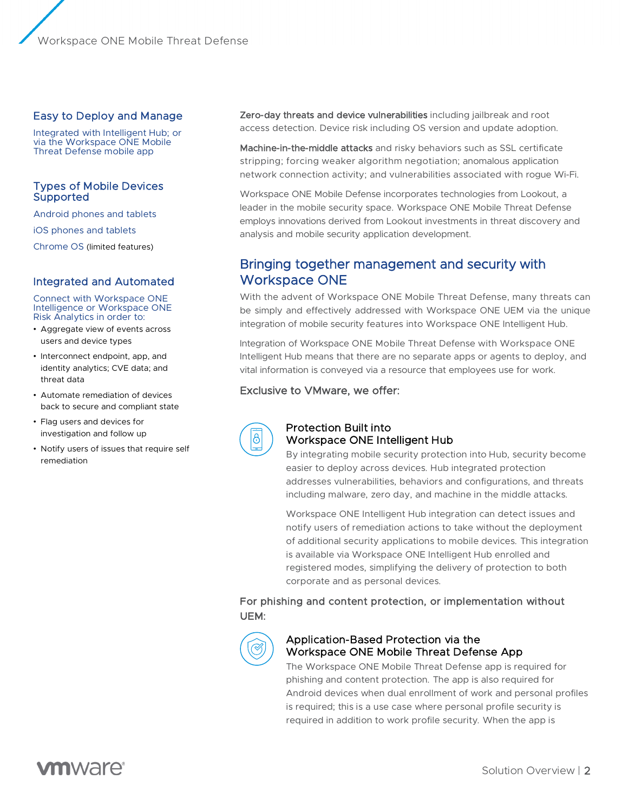# Easy to Deploy and Manage

Integrated with Intelligent Hub; or via the Workspace ONE Mobile Threat Defense mobile app

#### Types of Mobile Devices Supported

Android phones and tablets

iOS phones and tablets

Chrome OS (limited features)

## Integrated and Automated

Connect with Workspace ONE Intelligence or Workspace ONE Risk Analytics in order to:

- Aggregate view of events across users and device types
- Interconnect endpoint, app, and identity analytics; CVE data; and threat data
- Automate remediation of devices back to secure and compliant state
- Flag users and devices for investigation and follow up
- Notify users of issues that require self remediation

Zero-day threats and device vulnerabilities including jailbreak and root access detection. Device risk including OS version and update adoption.

Machine-in-the-middle attacks and risky behaviors such as SSL certificate stripping; forcing weaker algorithm negotiation; anomalous application network connection activity; and vulnerabilities associated with rogue Wi-Fi.

Workspace ONE Mobile Defense incorporates technologies from Lookout, a leader in the mobile security space. Workspace ONE Mobile Threat Defense employs innovations derived from Lookout investments in threat discovery and analysis and mobile security application development.

# Bringing together management and security with Workspace ONE

With the advent of Workspace ONE Mobile Threat Defense, many threats can be simply and effectively addressed with Workspace ONE UEM via the unique integration of mobile security features into Workspace ONE Intelligent Hub.

Integration of Workspace ONE Mobile Threat Defense with Workspace ONE Intelligent Hub means that there are no separate apps or agents to deploy, and vital information is conveyed via a resource that employees use for work.

#### Exclusive to VMware, we offer:



#### Protection Built into Workspace ONE Intelligent Hub

By integrating mobile security protection into Hub, security become easier to deploy across devices. Hub integrated protection addresses vulnerabilities, behaviors and configurations, and threats including malware, zero day, and machine in the middle attacks.

Workspace ONE Intelligent Hub integration can detect issues and notify users of remediation actions to take without the deployment of additional security applications to mobile devices. This integration is available via Workspace ONE Intelligent Hub enrolled and registered modes, simplifying the delivery of protection to both corporate and as personal devices.

For phishing and content protection, or implementation without UEM:



#### Application-Based Protection via the Workspace ONE Mobile Threat Defense App

The Workspace ONE Mobile Threat Defense app is required for phishing and content protection. The app is also required for Android devices when dual enrollment of work and personal profiles is required; this is a use case where personal profile security is required in addition to work profile security. When the app is